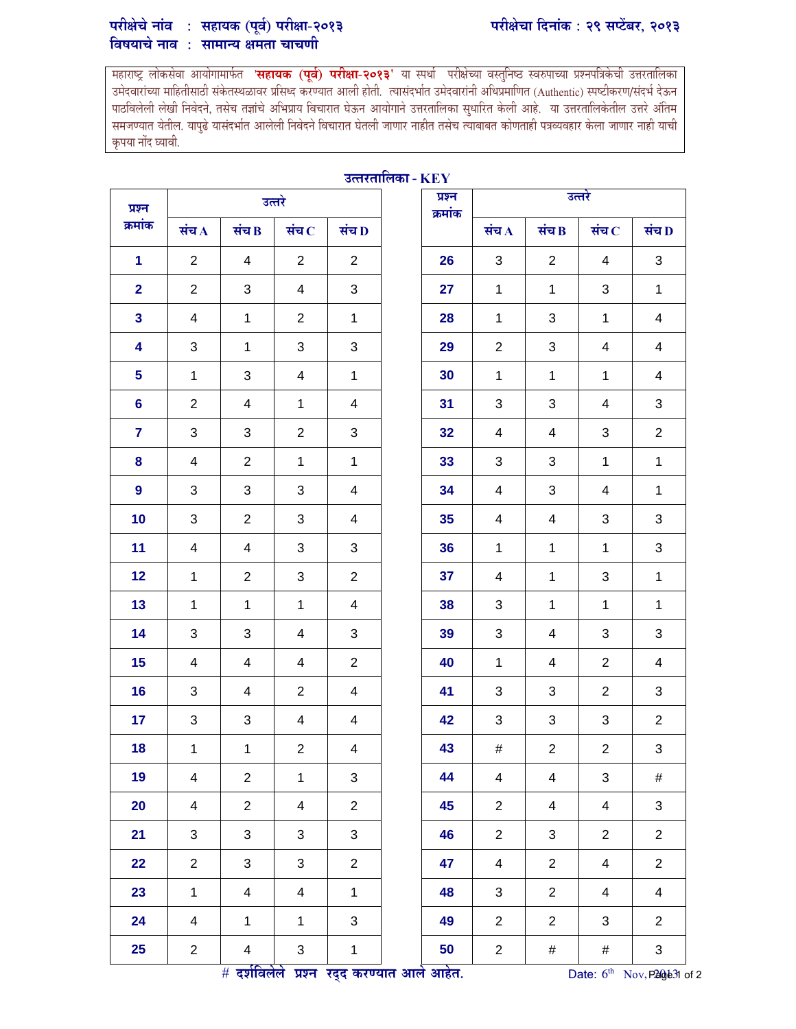## परीक्षेचे नाव : सहायक (पूर्व) परीक्षा-२०१३ परं विषयाचे नाव : सामान्य क्षमता चाचणी

महाराष्ट्र लोकसंवा आयोगामार्फत '**सहायक (पूर्व) परीक्षा-२०१३'** या स्पर्धा परीक्षेच्या वस्तुनिष्ठ स्वरुपाच्या प्रश्नपत्रिकंची उत्तरतालिका उमेदवारांच्या माहितीसाठी संकेतस्थळावर प्रसिध्द करण्यात आली होती. त्यासंदर्भात उमेदवारांनी अधिप्रमाणित (Authentic) स्पष्टीकरण/संदर्भ देऊन पाठविलेली लेखी निवेदने, तसेच तज्ञांचे अभिप्राय विचारात घेऊन आयोगाने उत्तरतालिका सुधारित केली आहे. या उत्तरतालिकेतील उत्तरे अंतिम समजण्यात येतील. यापुढे यासंदर्भात आलेली निवेदने विचारात घेतली जाणार नाहीत तसेच त्याबाबत कोणताही पत्रव्यवहार केला जाणार नाही याची कृपया नोद घ्यावी.

| उत्तरताालका - KEY |                          |                         |                         |                               |  |                   |                |                           |                           |                          |  |
|-------------------|--------------------------|-------------------------|-------------------------|-------------------------------|--|-------------------|----------------|---------------------------|---------------------------|--------------------------|--|
| प्रश्न<br>क्रमांक | उत्तरे                   |                         |                         |                               |  | प्रश्न<br>क्रमांक | उत्तरे         |                           |                           |                          |  |
|                   | संच $\bf{A}$             | संच B                   | संच $\bf C$             | संच D                         |  |                   | संच $\Lambda$  | संच $\bf{B}$              | संच $\,$                  | संच $\bf D$              |  |
| $\mathbf{1}$      | $\overline{2}$           | $\overline{4}$          | $\overline{2}$          | $\overline{2}$                |  | 26                | 3              | $\overline{2}$            | 4                         | 3                        |  |
| $\overline{2}$    | $\overline{2}$           | 3                       | $\overline{4}$          | $\mathfrak{S}$                |  | 27                | $\mathbf{1}$   | $\mathbf{1}$              | 3                         | $\mathbf{1}$             |  |
| $\mathbf{3}$      | $\overline{4}$           | $\mathbf{1}$            | $\overline{2}$          | $\mathbf 1$                   |  | 28                | $\mathbf{1}$   | 3                         | $\mathbf{1}$              | $\overline{4}$           |  |
| 4                 | 3                        | $\mathbf{1}$            | 3                       | 3                             |  | 29                | $\overline{2}$ | 3                         | 4                         | $\overline{4}$           |  |
| 5                 | $\mathbf{1}$             | 3                       | $\overline{4}$          | $\mathbf{1}$                  |  | 30                | $\mathbf{1}$   | $\mathbf{1}$              | $\mathbf 1$               | $\overline{4}$           |  |
| $6\phantom{1}$    | $\overline{2}$           | $\overline{\mathbf{4}}$ | $\mathbf{1}$            | 4                             |  | 31                | 3              | 3                         | 4                         | 3                        |  |
| $\overline{7}$    | 3                        | 3                       | $\overline{2}$          | 3                             |  | 32                | $\overline{4}$ | $\overline{4}$            | 3                         | $\overline{2}$           |  |
| 8                 | 4                        | $\overline{2}$          | $\mathbf{1}$            | $\mathbf{1}$                  |  | 33                | 3              | 3                         | $\mathbf{1}$              | $\mathbf{1}$             |  |
| 9                 | 3                        | 3                       | 3                       | 4                             |  | 34                | 4              | 3                         | 4                         | $\mathbf{1}$             |  |
| 10                | 3                        | $\overline{2}$          | 3                       | $\overline{4}$                |  | 35                | $\overline{4}$ | $\overline{4}$            | 3                         | 3                        |  |
| 11                | $\overline{\mathcal{A}}$ | $\overline{4}$          | 3                       | 3                             |  | 36                | $\mathbf{1}$   | $\mathbf{1}$              | $\mathbf 1$               | 3                        |  |
| 12                | $\mathbf{1}$             | $\overline{c}$          | 3                       | $\overline{2}$                |  | 37                | 4              | $\mathbf{1}$              | 3                         | $\mathbf{1}$             |  |
| 13                | $\mathbf{1}$             | $\mathbf{1}$            | $\mathbf{1}$            | 4                             |  | 38                | 3              | $\mathbf{1}$              | $\mathbf{1}$              | $\mathbf{1}$             |  |
| 14                | 3                        | 3                       | 4                       | 3                             |  | 39                | 3              | 4                         | 3                         | 3                        |  |
| 15                | 4                        | 4                       | 4                       | $\overline{2}$                |  | 40                | $\mathbf{1}$   | 4                         | $\overline{2}$            | $\overline{4}$           |  |
| 16                | $\mathbf{3}$             | $\overline{4}$          | $\overline{2}$          | $\overline{4}$                |  | 41                | 3              | 3                         | $\overline{2}$            | 3                        |  |
| 17                | 3                        | 3                       | 4                       | 4                             |  | 42                | 3              | 3                         | 3                         | $\overline{2}$           |  |
| 18                | $\mathbf{1}$             | 1                       | $\overline{2}$          | $\overline{\mathcal{A}}$      |  | 43                | #              | $\overline{2}$            | $\overline{2}$            | 3                        |  |
| 19                | $\overline{\mathbf{4}}$  | $\overline{2}$          | $\mathbf 1$             | $\mathfrak{S}$                |  | 44                | $\overline{4}$ | $\overline{\mathbf{4}}$   | $\ensuremath{\mathsf{3}}$ | $\#$                     |  |
| 20                | $\overline{\mathbf{4}}$  | $\overline{2}$          | $\overline{\mathbf{4}}$ | $\overline{2}$                |  | 45                | $\overline{2}$ | $\overline{\mathbf{4}}$   | 4                         | 3                        |  |
| 21                | 3                        | $\sqrt{3}$              | 3                       | 3                             |  | 46                | $\overline{2}$ | $\ensuremath{\mathsf{3}}$ | $\overline{2}$            | $\overline{2}$           |  |
| 22                | $\overline{2}$           | $\mathfrak{S}$          | $\mathfrak{S}$          | $\overline{2}$                |  | 47                | $\overline{4}$ | $\overline{2}$            | 4                         | $\overline{2}$           |  |
| 23                | $\mathbf{1}$             | $\overline{\mathbf{4}}$ | $\overline{\mathbf{4}}$ | $\mathbf{1}$                  |  | 48                | 3              | $\overline{2}$            | 4                         | $\overline{\mathbf{4}}$  |  |
| 24                | $\overline{\mathbf{4}}$  | $\mathbf{1}$            | $\mathbf{1}$            | 3                             |  | 49                | $\overline{2}$ | $\overline{2}$            | 3                         | $\overline{2}$           |  |
| 25                | $\overline{2}$           | $\overline{\mathbf{4}}$ | 3                       | 1                             |  | 50                | $\overline{2}$ | $\#$                      | $\#$                      | 3                        |  |
|                   |                          | # दर्शविलेले            |                         | प्रश्न रद्द करण्यात आले आहेत. |  |                   |                |                           | Date: 6 <sup>th</sup>     | Nov, P20 <sup>1</sup> 31 |  |

## उत्  $\sim$  Key